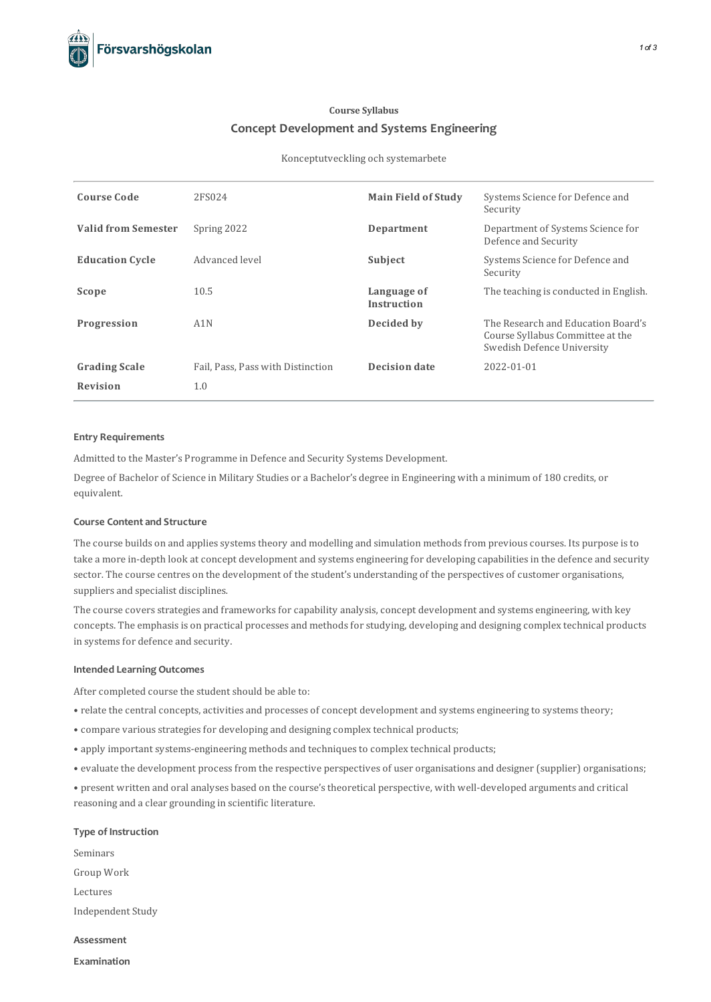# **Course Syllabus Concept Development and Systems Engineering**

#### Konceptutveckling och systemarbete

| <b>Course Code</b>         | 2FS024                            | <b>Main Field of Study</b>        | Systems Science for Defence and<br>Security                                                          |
|----------------------------|-----------------------------------|-----------------------------------|------------------------------------------------------------------------------------------------------|
| <b>Valid from Semester</b> | Spring 2022                       | Department                        | Department of Systems Science for<br>Defence and Security                                            |
| <b>Education Cycle</b>     | Advanced level                    | Subject                           | Systems Science for Defence and<br>Security                                                          |
| Scope                      | 10.5                              | Language of<br><b>Instruction</b> | The teaching is conducted in English.                                                                |
| Progression                | A1N                               | Decided by                        | The Research and Education Board's<br>Course Syllabus Committee at the<br>Swedish Defence University |
| <b>Grading Scale</b>       | Fail, Pass, Pass with Distinction | <b>Decision date</b>              | 2022-01-01                                                                                           |
| Revision                   | 1.0                               |                                   |                                                                                                      |

#### **Entry Requirements**

Admitted to the Master's Programme in Defence and Security Systems Development.

Degree of Bachelor of Science in Military Studies or a Bachelor's degree in Engineering with a minimum of 180 credits, or equivalent.

## **Course Contentand Structure**

The course builds on and applies systems theory and modelling and simulation methods from previous courses. Its purpose is to take a more in-depth look at concept development and systems engineering for developing capabilities in the defence and security sector. The course centres on the development of the student's understanding of the perspectives of customer organisations, suppliers and specialist disciplines.

The course covers strategies and frameworks for capability analysis, concept development and systems engineering, with key concepts. The emphasisis on practical processes and methodsforstudying, developing and designing complex technical products in systems for defence and security.

#### **Intended Learning Outcomes**

After completed course the student should be able to:

- relate the central concepts, activities and processes of concept development and systems engineering to systems theory;
- compare various strategies for developing and designing complex technical products;
- apply important systems-engineering methods and techniques to complex technical products;
- evaluate the development processfrom the respective perspectives of user organisations and designer (supplier) organisations;

• present written and oral analyses based on the course'stheoretical perspective, with well-developed arguments and critical reasoning and a clear grounding in scientific literature.

#### **Type of Instruction**

Seminars Group Work Lectures Independent Study

**Assessment**

**Examination**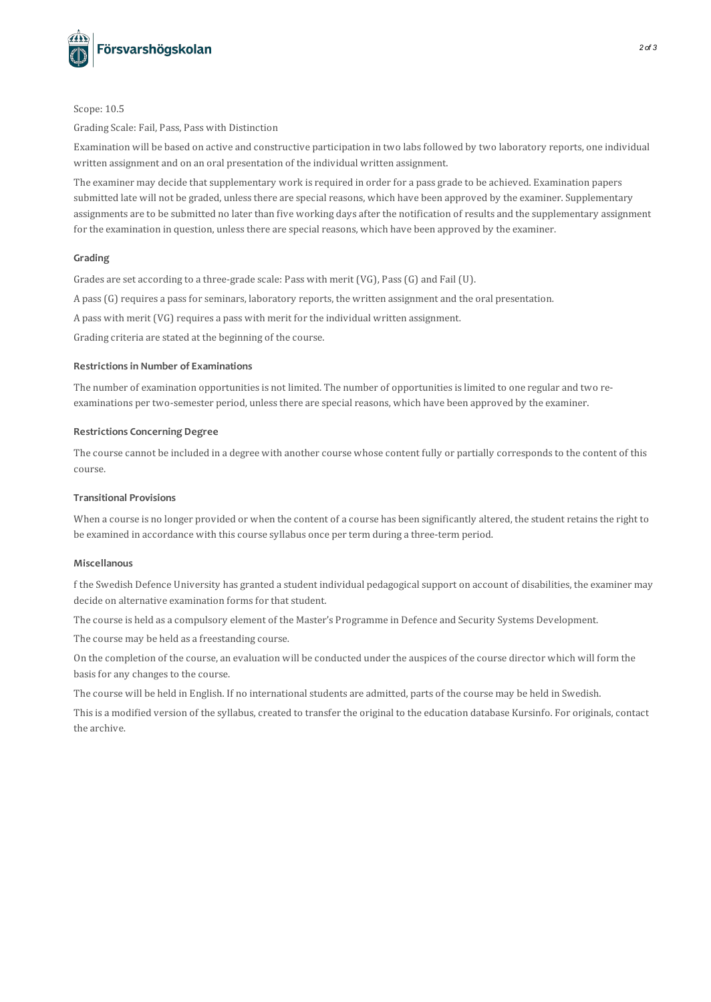

Scope: 10.5

Grading Scale: Fail, Pass, Pass with Distinction

Examination will be based on active and constructive participation in two labsfollowed by two laboratory reports, one individual written assignment and on an oral presentation of the individual written assignment.

The examiner may decide that supplementary work is required in order for a pass grade to be achieved. Examination papers submitted late will not be graded, unless there are special reasons, which have been approved by the examiner. Supplementary assignments are to be submitted no later than five working days after the notification of results and the supplementary assignment for the examination in question, unless there are special reasons, which have been approved by the examiner.

## **Grading**

Grades are set according to a three-grade scale: Pass with merit (VG), Pass(G) and Fail (U).

A pass (G) requires a pass for seminars, laboratory reports, the written assignment and the oral presentation.

A pass with merit (VG) requires a pass with merit for the individual written assignment.

Grading criteria are stated at the beginning of the course.

#### **Restrictionsin Number of Examinations**

The number of examination opportunities is not limited. The number of opportunities is limited to one regular and two reexaminations per two-semester period, unlessthere are special reasons, which have been approved by the examiner.

#### **Restrictions Concerning Degree**

The course cannot be included in a degree with another course whose content fully or partially corresponds to the content of this course.

#### **Transitional Provisions**

When a course is no longer provided or when the content of a course has been significantly altered, the student retains the right to be examined in accordance with thiscourse syllabus once per term during a three-term period.

#### **Miscellanous**

f the Swedish Defence University has granted a student individual pedagogicalsupport on account of disabilities, the examiner may decide on alternative examination forms for that student.

The course is held as a compulsory element of the Master's Programme in Defence and Security Systems Development.

The course may be held as a freestanding course.

On the completion of the course, an evaluation will be conducted under the auspices of the course director which will form the basis for any changes to the course.

The course will be held in English. If no international students are admitted, parts of the course may be held in Swedish.

This is a modified version of the syllabus, created to transfer the original to the education database Kursinfo. For originals, contact the archive.